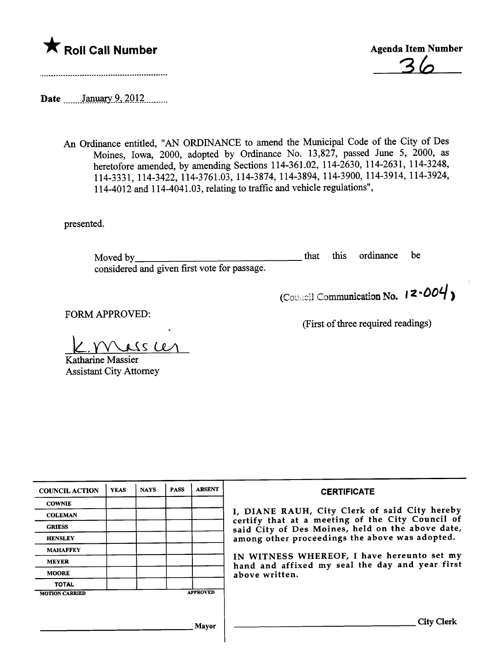

\* Roll Call Number<br>
Agenda Item Number<br>
36

Date \_\_\_\_\_\_ January 9, 2012 \_\_\_\_\_\_

An Ordinance entitled, "AN ORDINANCE to amend the Muncipal Code of the City of Des Moines, Iowa, 2000, adopted by Ordinance No. 13,827, passed June 5, 2000, as heretofore amended, by amending Sections 114-361.02, 114-2630, 114-2631, 114-3248, 114-3331, 114-3422, 114-3761.03, 114-3874, 114-3894, 114-3900, 114-3914, 114-3924, 114-4012 and 114-4041.03, relating to traffic and vehicle reguations",

presented.

Moved by considered and given first vote for passage. that ths ordinance be

(First of thee required readings)

(Council Communication No.  $12 - 004$ )

FORM APPROVED:

 $L$ 

Katharine Massier **Assistant City Attorney** 

| <b>COUNCIL ACTION</b> | <b>YEAS</b> | <b>NAYS</b> | <b>PASS</b> | <b>ABSENT</b>   | <b>CERTIFICATE</b>                                                                                                                                                                                                                                                                                                         |
|-----------------------|-------------|-------------|-------------|-----------------|----------------------------------------------------------------------------------------------------------------------------------------------------------------------------------------------------------------------------------------------------------------------------------------------------------------------------|
| <b>COWNIE</b>         |             |             |             |                 | I, DIANE RAUH, City Clerk of said City hereby<br>certify that at a meeting of the City Council of<br>said City of Des Moines, held on the above date,<br>among other proceedings the above was adopted.<br>IN WITNESS WHEREOF, I have hereunto set my<br>hand and affixed my seal the day and year first<br>above written. |
| <b>COLEMAN</b>        |             |             |             |                 |                                                                                                                                                                                                                                                                                                                            |
| <b>GRIESS</b>         |             |             |             |                 |                                                                                                                                                                                                                                                                                                                            |
| <b>HENSLEY</b>        |             |             |             |                 |                                                                                                                                                                                                                                                                                                                            |
| <b>MAHAFFEY</b>       |             |             |             |                 |                                                                                                                                                                                                                                                                                                                            |
| <b>MEYER</b>          |             |             |             |                 |                                                                                                                                                                                                                                                                                                                            |
| <b>MOORE</b>          |             |             |             |                 |                                                                                                                                                                                                                                                                                                                            |
| <b>TOTAL</b>          |             |             |             |                 |                                                                                                                                                                                                                                                                                                                            |
| <b>MOTION CARRIED</b> |             |             |             | <b>APPROVED</b> |                                                                                                                                                                                                                                                                                                                            |
|                       |             |             |             |                 |                                                                                                                                                                                                                                                                                                                            |
| Mayor                 |             |             |             |                 | <b>City Clerk</b>                                                                                                                                                                                                                                                                                                          |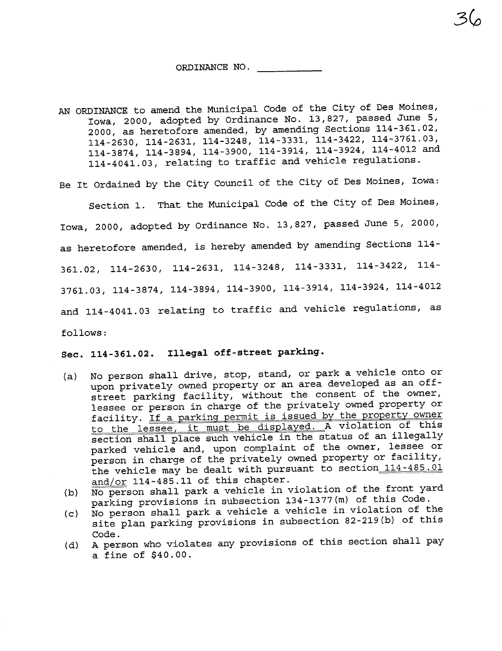#### ORDINANCE NO.

AN ORDINANCE to amend the Municipal Code of the City of Des Moines, Iowa, 2000, adopted by Ordinance No. 13,827, passed June 5, 2000, as heretofore amended, by amending Sections 114-361.02, 114 -2630, 114 -2631, 114-3248, 114 -3331, 114-3422, 114-3761.03, 114 -3874, 114-3894, 114 -3900, 114 -3914, 114 -3924, 114-4012 and 114-4041.03, relating to traffic and vehicle regulations.

Be It Ordained by the City Council of the City of Des Moines, Iowa:

Section 1. That the Municipal Code of the City of Des Moines, Iowa, 2000, adopted by Ordinance No. 13,827, passed June 5, 2000, as heretofore amended, is hereby amended by amending Sections 114- 361. 02, 114 -2630, 114 -2631, 114 -3248, 114 -3331, 114 -3422, 114- 3761.03, 114 -3874, 114 -3894, 114-3900, 114 -3914, 114 -3924, 114 -4012 and 114-4041.03 relating to traffic and vehicle regulations, as follows:

## Sec. 114-361.02. Illegal off-street parking.

- (a) No person shall drive, stop, stand, or park a vehicle onto or upon privately owned property or an area developed as an offstreet parking facility, without the consent of the owner, lessee or person in charge of the privately owned property or facility. If a parking permit is issued by the property owner to the lessee, it must be displayed. A violation of this section shall place such vehicle in the status of an illegally parked vehicle and, upon complaint of the owner, lessee or person in charge of the privately owned property or facility, the vehicle may be dealt with pursuant to section 114-485.01 and/or 114-485.11 of this chapter.
- (b) No person shall park a vehicle in violation of the front yard parking provisions in subsection 134-1377(m) of this Code.
- (c) No person shall park a vehicle a vehicle in violation of the site plan parking provisions in subsection 82-219 (b) of this Code.
- (d) A person who violates any provisions of this section shall pay a fine of \$40.00.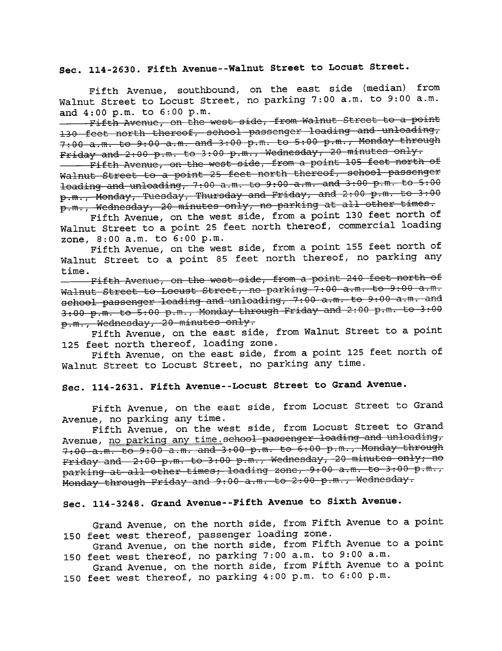# Sec. 114-2630. Fifth Avenue--Walnut Street to Locust Street.

Fifth Avenue, southbound, on the east side (median) from Walnut Street to Locust Street, no parking 7:00 a.m. to 9:00 a.m. and 4: 00 p. m. to 6: 00 p. m.

Fifth Avenue, on the west side, from Walnut Street to a point 130 feet north thereof, school passenger loading and unloading,  $7:90$  a.m. to  $9:00$  a.m. and  $3:00$  p.m. to  $5:00$  p.m., Monday through  $Friday$  and  $2:00$  p.m. to 3:00 p.m., Wednesday, 20 minutes only.

Fifth Avenue, on the west side, from a point 105 feet north of Walnut Street to a point 25 feet north thereof, school passenger loading and unloading, 7:00 a.m. to 9:00 a.m. and 3:00 p.m. to 5:00  $p.m.$ , Monday, Tuesday, Thursday and Friday, and 2:00  $p.m.$  to 3:00 p.m., Wednesday, 20 minutes only, no parking at all other times.

Fifth Avenue, on the west side, from a point 130 feet north of Walnut Street to a point 25 feet north thereof, commercial loading zone, 8:00 a.m. to 6:00 p.m.

Fifth Avenue, on the west side, from a point 155 feet north of Walnut Street to a point 85 feet north thereof, no parking any time.

 $-$  Fifth Avenue, on the west side, from a point 240 feet north of Walnut Street to Locust Street, no parking 7:00 a.m. to 9:00 a.m. school passenger loading and unloading, 7:00 a.m. to 9:00 a.m. and  $3:00$  p.m. to  $\overline{5:00}$  p.m., Monday through Friday and  $2:00$  p.m. to  $3:00$ p.m., Wednesday, 20 minutes only.

Fifth Avenue, on the east side, from Walnut Street to a point 125 feet north thereof, loading zone.

Fifth Avenue, on the east side, from a point 125 feet north of Walnut Street to Locust Street, no parking any time.

# Sec. 114-2631. Fifth Avenue--Locust Street to Grand Avenue.

Fifth Avenue, on the east side, from Locust Street to Grand Avenue, no parking any time.

Fifth Avenue, on the west side, from Locust Street to Grand Avenue, no parking any time. school passenger loading and unloading, 7:00 a.m. to 9:00 a.m. and 3:00 p.m. to 6:00 p.m., Monday through Friday and 2:00 p.m. to 3:00 p.m., Wednesday, 20 minutes only; no parking at all other times, loading zone,  $9.00$  a.m. to 3:00  $\bar{p}.\text{m}.\text{ }$ Monday through Friday and 9:00 a.m. to 2:00 p.m., Wednesday.

# Sec. 114-3248. Grand Avenue- -Fifth Avenue to Sixth Avenue.

Grand Avenue, on the north side, from Fifth Avenue to a point 150 feet west thereof, passenger loading zone.

Grand Avenue, on the north side, from Fifth Avenue to a point 150 feet west thereof, no parking 7:00 a.m. to 9:00 a.m.

Grand Avenue, on the north side, from Fifth Avenue to a point 150 feet west thereof, no parking 4:00 p.m. to 6:00 p.m.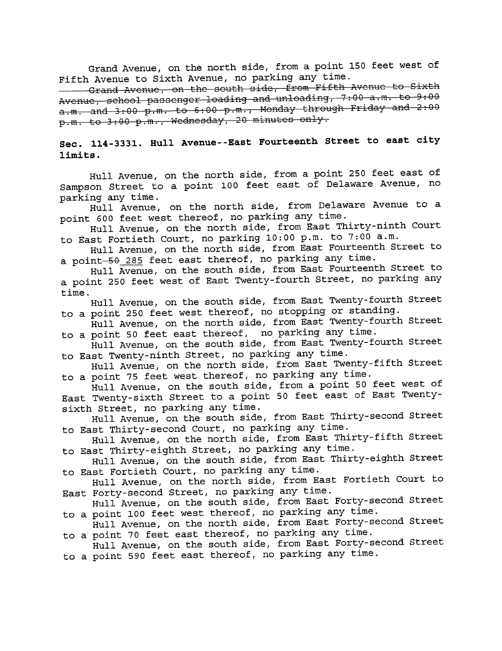Grand Avenue, on the north side, from a point 150 feet west of Fifth Avenue to Sixth Avenue, no parking any time.

-Grand Avenue, on the south side, from Fifth Avenue to Sixth Avenue, school passenger loading and unloading, 7:00 a.m. to 9:00  $a.m.$  and  $3:00$  p.m. to 6:00 p.m., Monday through Friday and  $2:00$ p.m. to 3:00 p.m., Wednesday, 20 minutes only.

## Sec. 114-3331. Hull Avenue--East Fourteenth Street to east city limits.

Hull Avenue, on the north side, from a point 250 feet east of Sampson Street to a point 100 feet east of Delaware Avenue, no parking any time.

Hull Avenue, on the north side, from Delaware Avenue to a point 600 feet west thereof, no parking any time.

Hull Avenue, on the north side, from East Thirty-ninth Court to East Fortieth Court, no parking 10:00 p.m. to 7:00 a.m.

Hull Avenue, on the north side, from East Fourteenth Street to a point-50 285 feet east thereof, no parking any time.

Hull Avenue, on the south side, from East Fourteenth Street to a point 250 feet west of East Twenty-fourth Street, no parking any time.

Hull Avenue, on the south side, from East Twenty-fourth Street to a point 250 feet west thereof, no stopping or standing.

Hull Avenue, on the north side, from East Twenty-fourth Street to a point 50 feet east thereof, no parking any time.

Hull Avenue, on the south side, from East Twenty-fourth Street to East Twenty-ninth Street, no parking any time.

Hull Avenue, on the north side, from East Twenty-fifth Street to a point 75 feet west thereof, no parking any time.

Hull Avenue, on the south side, from a point 50 feet west of East Twenty-sixth Street to a point 50 feet east of East Twentysixth Street, no parking any time.

Hull Avenue, on the south side, from East Thirty-second Street to East Thirty-second Court, no parking any time.

Hull Avenue, on the north side, from East Thirty-fifth Street to East Thirty-eighth Street, no parking any time.

Hull Avenue, on the south side, from East Thirty-eighth Street to East Fortieth Court, no parking any time.

Hull Avenue, on the north side, from East Fortieth Court to East Forty-second Street, no parking any time.

Hull Avenue, on the south side, from East Forty-second Street to a point 100 feet west thereof, no parking any time.

Hull Avenue, on the north side, from East Forty-second Street to a point 70 feet east thereof, no parking any time.

Hull Avenue, on the south side, from East Forty-second Street to a point 590 feet east thereof, no parking any time.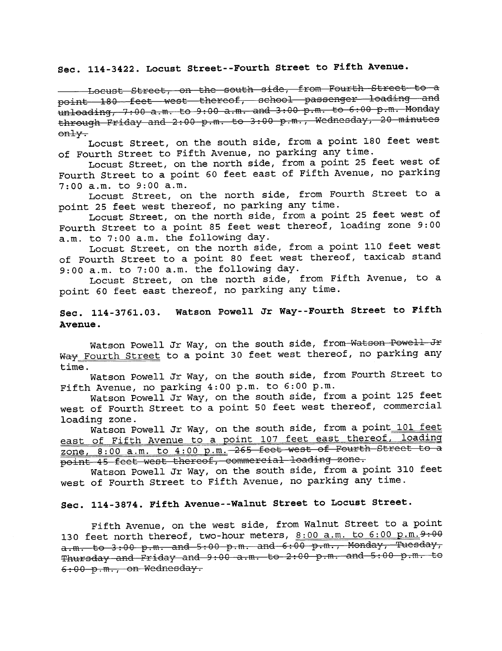#### Sec. 114 -3422. Locust Street- -Fourth Street to Fifth Avenue.

- Locust Street, on the south side, from Fourth Street to a point 180 feet west thereof, school passenger loading and  $unloading, 7:00 a.m. to 9:00 a.m. and 3:00 p.m. to 6:00 p.m. Monday$ through Friday and 2:00 p.m. to 3:00 p.m., Wednesday, 20 minutes only.

Locust Street, on the south side, from a point 180 feet west of Fourth Street to Fifth Avenue, no parking any time.

Locust Street, on the north side, from a point 25 feet west of Fourth Street to a point 60 feet east of Fifth Avenue, no parking 7:00 a.m. to 9:00 a.m.

Locust Street, on the north side, from Fourth Street to a point 25 feet west thereof, no parking any time.

Locust Street, on the north side, from a point 25 feet west of Fourth Street to a point 85 feet west thereof, loading zone 9: 00 a.m. to 7:00 a.m. the following day.

Locust Street, on the north side, from a point 110 feet west of Fourth Street to a point 80 feet west thereof, taxicab stand 9: 00 a. m. to 7: 00 a. m. the following day.

Locust Street, on the north side, from Fifth Avenue, to a point 60 feet east thereof, no parking any time.

#### Sec. 114-3761.03. Watson Powell Jr Way- -Fourth Street to Fifth Avenue.

Watson Powell Jr Way, on the south side, from Watson Powell Jr Way Fourth Street to a point 30 feet west thereof, no parking any time.

Watson Powell Jr Way, on the south side, from Fourth Street to Fifth Avenue, no parking 4:00 p.m. to 6:00 p.m.

Watson Powell Jr Way, on the south side, from a point 125 feet west of Fourth Street to a point 50 feet west thereof, commercial loading zone.

Watson Powell Jr Way, on the south side, from a point 101 feet east of Fifth Avenue to a point 107 feet east thereof, loading zone,  $8:00$  a.m. to  $4:00$  p.m.  $265$  feet west of Fourth Street to  $\alpha$ point 45 feet west thereof, commercial loading zone.

Watson Powell Jr Way, on the south side, from a point 310 feet west of Fourth Street to Fifth Avenue, no parking any time.

#### Sec. 114 -3874. Fifth Avenue- -Walnut Street to Locust Street.

Fifth Avenue, on the west side, from Walnut Street to a point 130 feet north thereof, two-hour meters,  $8:00$  a.m. to  $6:00$  p.m.  $9:00$  $a.m.$  to 3:00 p.m. and 5:00 p.m. and  $6:\overline{00}$  p.m., Monday, Tuesday, Thursday and  $Friday$  and  $9.00$  a.m. to  $2.00$  p.m. and  $5.00$  p.m. to  $6:00$  p.m., on Wednesday.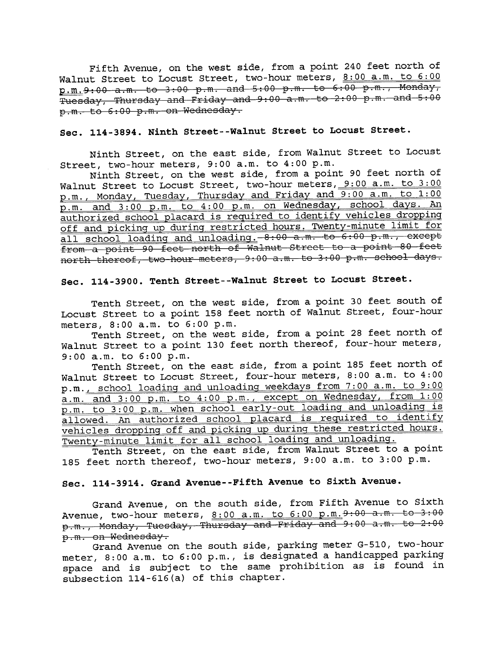Fifth Avenue, on the west side, from a point 240 feet north of Walnut Street to Locust Street, two-hour meters, 8:00 a.m. to 6:00  $p.m.9:00 a.m.$  to 3:00 p.m. and 5:00 p.m. to 6:00 p.m., Monday, Tuesday, Thursday and Friday and 9:00 a.m. to 2:00 p.m. and 5:00 p.m. to 6:00 p.m. on Wednesday.

## Sec. 114-3894. Ninth Street--Walnut Street to Locust Street.

Ninth Street, on the east side, from Walnut Street to Locust Street, two-hour meters, 9:00 a.m. to 4:00 p.m.

Ninth Street, on the west side, from a point 90 feet north of Walnut Street to Locust Street, two-hour meters, 9:00 a.m. to 3:00 p.m., Monday, Tuesday, Thursday and Friday and 9:00 a.m. to 1:00 p.m. and 3:00 p.m. to 4:00 p.m. on Wednesday, school days. An authorized school placard is required to identify vehicles dropping off and picking up during restricted hours. Twenty-minute limit for<br>all school loading and unloading. -8:00 a.m. to 6:00 p.m., except from a point 90 feet north of Walnut Street to a point 80 feet north thereof, two hour meters, 9:00 a.m. to 3:00 p.m. school days.

#### Sec. 114 -3900. Tenth Street- -Walnut Street to Locust Street.

Tenth Street, on the west side, from a point 30 feet south of Locust Street to a point 158 feet north of Walnut Street, four-hour meters, 8:00 a.m. to 6:00 p.m.

Tenth Street, on the west side, from a point 28 feet north of Walnut Street to a point 130 feet north thereof, four-hour meters, 9:00 a.m. to 6:00 p.m.

Tenth Street, on the east side, from a point 185 feet north of Walnut Street to Locust Street, four-hour meters, 8:00 a.m. to 4:00 p.m., school loadinq and unloading weekdays from 7:00 a.m. to 9:00 a.m. and 3:00 p.m. to 4:00 p.m., except on Wednesday, from 1:00 p.m. to 3:00 p.m. when school early-out loading and unloading is allowed. An authorized school placard is required to identify vehicles dropping off and pickinq up durinq these restricted hours. Twenty-minute limit for all school loadinq and unloading.

Tenth Street, on the east side, from Walnut Street to a point 185 feet north thereof, two-hour meters, 9:00 a.m. to 3:00 p.m.

#### Sec. 114-3914. Grand Avenue--Fifth Avenue to Sixth Avenue.

Grand Avenue, on the south side, from Fifth Avenue to sixth Avenue, two-hour meters, 8:00 a.m. to 6:00 p.m. 9:00 a.m. to 3:00 p.m., Monday, Tuesday, Thursday and Friday and 9:00 a.m. to 2:00 p.m. on Wednesday.

Grand Avenue on the south side, parking meter G-510, two-hour meter, 8:00 a.m. to 6:00 p.m., is designated a handicapped parking space and is subject to the same prohibition as is found in subsection 114 -616 (a) of this chapter.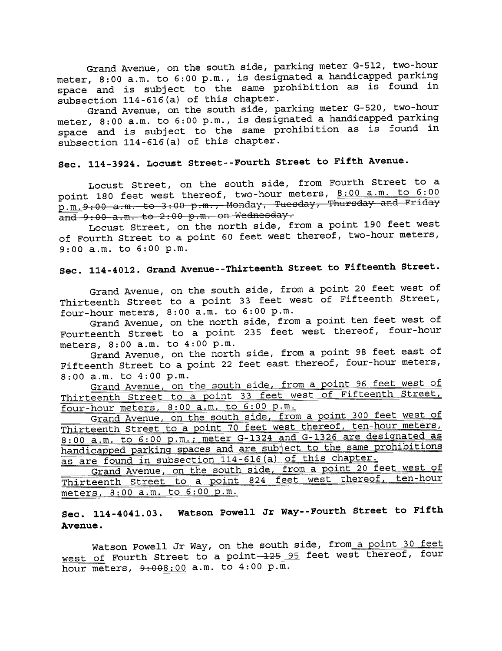Grand Avenue, on the south side, parking meter G-512, two-hour meter, 8:00 a.m. to 6:00 p.m., is designated a handicapped parking space and is subject to the same prohibition as is found in subsection  $114 - 616$  (a) of this chapter.

Grand Avenue, on the south side, parking meter G-520, two-hour meter, 8:00 a.m. to 6:00 p.m., is designated a handicapped parking space and is subject to the same prohibition as is found in subsection 114 -616 (a) of this chapter.

# Sec. 114-3924. Locust Street--Fourth Street to Fifth Avenue.

Locust Street, on the south side, from Fourth Street to a point 180 feet west thereof, two-hour meters, 8:00 a.m. to 6:00  $p.m.9:00$  a.m. to 3:00 p.m., Monday, Tuesday, Thursday and Friday  $\overline{and}\ 9:00$  a.m. to 2:00 p.m. on Wednesday.

Locust Street, on the north side, from a point 190 feet west of Fourth Street to a point 60 feet west thereof, two-hour meters, 9:00 a.m. to 6:00 p.m.

# Sec. 114 -4012. Grand Avenue- -Thirteenth Street to Fifteenth Street.

Grand Avenue, on the south side, from a point 20 feet west of Thirteenth Street to a point 33 feet west of Fifteenth Street, four-hour meters, 8:00 a.m. to 6:00 p.m.

Grand Avenue, on the north side, from a point ten feet west of Fourteenth Street to a point 235 feet west thereof, four-hour meters, 8: 00 a.m. to 4: 00 p.m.

Grand Avenue, on the north side, from a point 98 feet east of Fifteenth Street to a point 22 feet east thereof, four-hour meters,

8:00 a.m. to 4:00 p.m.<br><u>Grand Avenue, on the south side, from a point 96 feet west of</u> Thirteenth Street to a point 33 feet west of Fifteenth Street, four-hour meters, 8:00 a.m. to 6:00 p.m.

Grand Avenue, on the south side, from a point 300 feet west of Thirteenth Street to a point 70 feet west thereof, ten-hour meters, 8:00 a.m. to 6:00 p.m.; meter G-1324 and G-1326 are designated as handicapped parking spaces and are subject to the same prohibitions as are found in subsection 114-616 (a) of this chapter.

Grand Avenue, on the south side, from a point 20 feet west of Thirteenth Street to a point 824 feet west thereof, ten-hour meters, 8: 00 a. m. to 6: 00 p. m.

#### Sec. 114-4041.03. Watson Powell Jr Way- -Fourth Street to Fifth Avenue.

Watson Powell Jr Way, on the south side, from a point 30 feet west of Fourth Street to a point 125 95 feet west thereof, four hour meters,  $9:008:00$  a.m. to  $4:00$  p.m.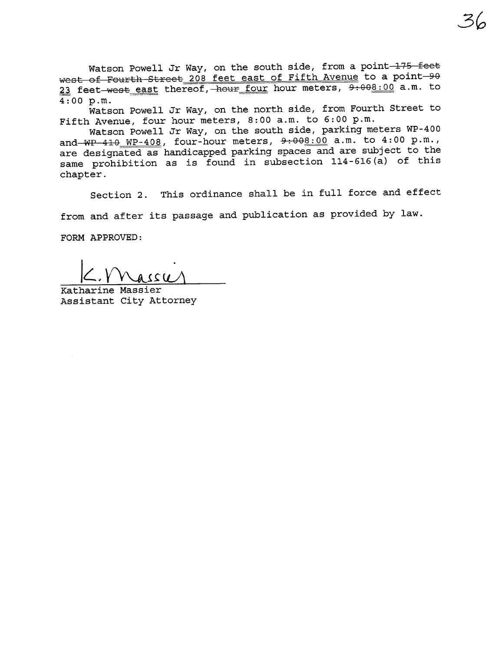Watson Powell Jr Way, on the south side, from a point 175 feet west of Fourth Street 208 feet east of Fifth Avenue to a point-90 23 feet west east thereof, hour four hour meters, 9:008:00 a.m. to 4:00 p.m.

Watson Powell Jr Way, on the north side, from Fourth Street to Fifth Avenue, four hour meters, 8:00 a.m. to 6:00 p.m.

Watson Powell Jr Way, on the south side, parking meters WP-400 and  $WP-410$  WP-408, four-hour meters,  $9:000$  a.m. to 4:00 p.m., are designated as handicapped parking spaces and are subject to the same prohibition as is found in subsection 114-616 (a) of this chapter.

Section 2. This ordinance shall be in full force and effect

from and after its passage and publication as provided by law.

FORM APPROVED:

 $\frac{1}{\text{Katharine Massier}}$ 

Assistant City Attorney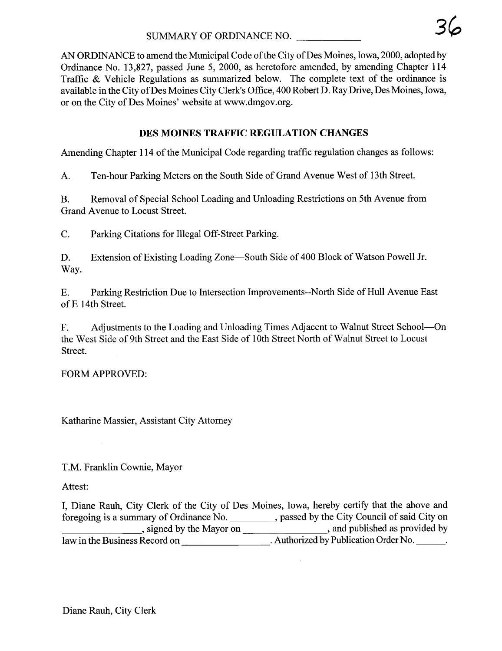AN ORDINANCE to amend the Municipal Code of the City of Des Moines, Iowa, 2000, adopted by Ordinance No. 13,827, passed June 5, 2000, as heretofore amended, by amending Chapter 114 Traffic & Vehicle Regulations as summarized below. The complete text of the ordinance is available in the City of Des Moines City Clerk's Office, 400 Robert D. Ray Drive, Des Moines, Iowa, or on the City of Des Moines' website at www.dmgov.org.

# DES MOINES TRAFFIC REGULATION CHANGES

Amending Chapter 114 of the Municipal Code regarding traffic regulation changes as follows:

A. Ten-hour Parking Meters on the South Side of Grand Avenue West of 13th Street.

B. Removal of Special School Loading and Unloading Restrictions on 5th Avenue from Grand Avenue to Locust Street.

C. Parking Citations for Ilegal Off-Street Parking.

D. Extension of Existing Loading Zone—South Side of 400 Block of Watson Powell Jr. Way.

E. Parking Restriction Due to Intersection Improvements--North Side of Hull Avenue East of E 14th Street.

F. Adjustments to the Loading and Unloading Times Adjacent to Walnut Street School-On the West Side of 9th Street and the East Side of 10th Street North of Walnut Street to Locust Street.

FORM APPROVED:

Katharine Massier, Assistant City Attorney

T.M. Franklin Cownie, Mayor

Attest:

I, Diane Rauh, City Clerk of the City of Des Moines, Iowa, hereby certify that the above and foregoing is a summary of Ordinance No. \_\_\_\_\_\_\_\_, passed by the City Council of said City on , signed by the Mayor on  $\frac{1}{\sqrt{1-\frac{1}{\sqrt{1-\frac{1}{\sqrt{1-\frac{1}{\sqrt{1-\frac{1}{\sqrt{1-\frac{1}{\sqrt{1-\frac{1}{\sqrt{1-\frac{1}{\sqrt{1-\frac{1}{\sqrt{1-\frac{1}{\sqrt{1-\frac{1}{\sqrt{1-\frac{1}{\sqrt{1-\frac{1}{\sqrt{1-\frac{1}{\sqrt{1-\frac{1}{\sqrt{1-\frac{1}{\sqrt{1-\frac{1}{\sqrt{1-\frac{1}{\sqrt{1-\frac{1}{\sqrt{1-\frac{1}{\sqrt{1-\frac{1}{\sqrt{1-\frac{1}{\sqrt$ law in the Business Record on \_\_\_\_\_\_\_\_\_\_\_\_\_\_\_\_\_\_\_\_\_\_. Authorized by Publication Order No.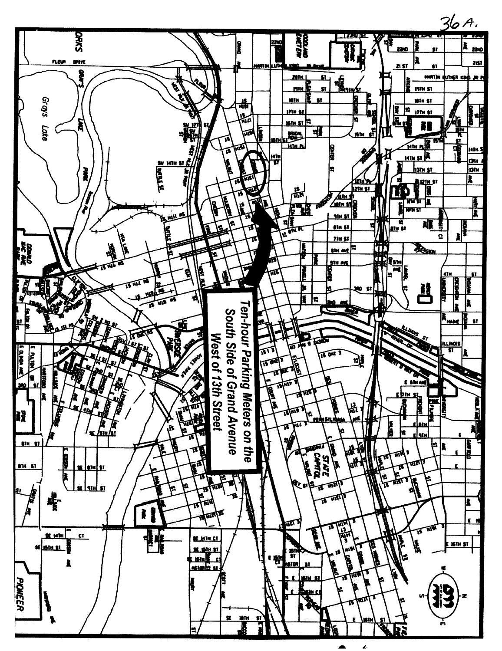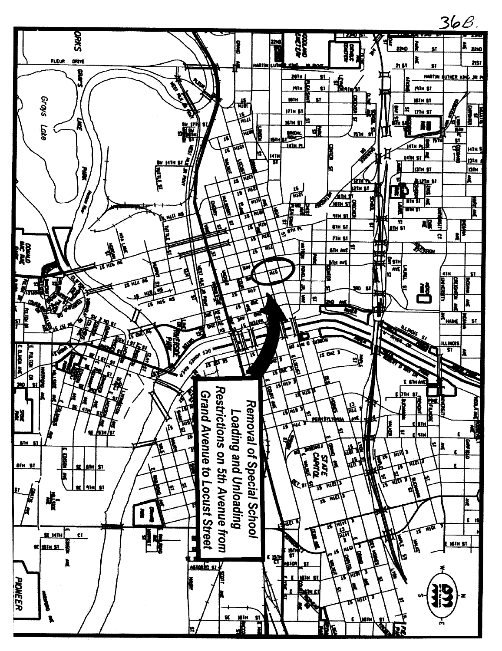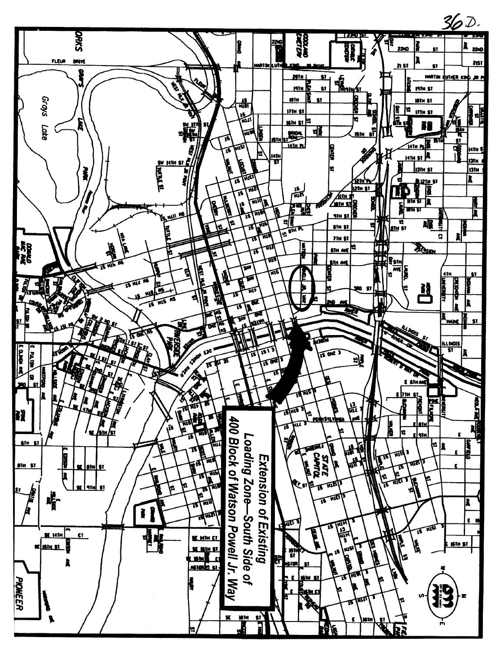